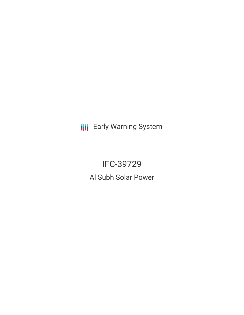**III** Early Warning System

IFC-39729 Al Subh Solar Power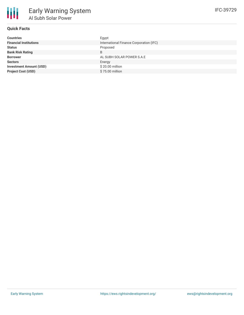

# **Quick Facts**

| <b>Countries</b>               | Egypt                                   |
|--------------------------------|-----------------------------------------|
| <b>Financial Institutions</b>  | International Finance Corporation (IFC) |
| <b>Status</b>                  | Proposed                                |
| <b>Bank Risk Rating</b>        | B                                       |
| <b>Borrower</b>                | AL SUBH SOLAR POWER S.A.E               |
| <b>Sectors</b>                 | Energy                                  |
| <b>Investment Amount (USD)</b> | \$20.00 million                         |
| <b>Project Cost (USD)</b>      | \$75.00 million                         |
|                                |                                         |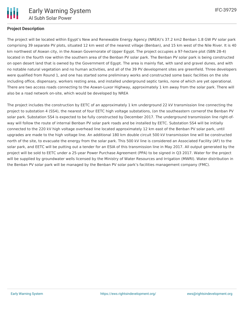

### **Project Description**

The project will be located within Egypt's New and Renewable Energy Agency (NREA)'s 37.2 km2 Benban 1.8 GW PV solar park comprising 39 separate PV plots, situated 12 km west of the nearest village (Benban), and 15 km west of the Nile River. It is 40 km northwest of Aswan city, in the Aswan Governorate of Upper Egypt. The project occupies a 97-hectare plot (SBN 28-4) located in the fourth row within the southern area of the Benban PV solar park. The Benban PV solar park is being constructed on open desert land that is owned by the Government of Egypt. The area is mainly flat, with sand and gravel dunes, and with no notable natural vegetation and no human activities, and all of the 39 PV development sites are greenfield. Three developers were qualified from Round 1, and one has started some preliminary works and constructed some basic facilities on the site including office, dispensary, workers resting area, and installed underground septic tanks, none of which are yet operational. There are two access roads connecting to the Aswan-Luxor Highway, approximately 1 km away from the solar park. There will also be a road network on-site, which would be developed by NREA

The project includes the construction by EETC of an approximately 1 km underground 22 kV transmission line connecting the project to substation 4 (SS4), the nearest of four EETC high voltage substations, (on the southeastern cornerof the Benban PV solar park. Substation SS4 is expected to be fully constructed by December 2017. The underground transmission line right-ofway will follow the route of internal Benban PV solar park roads and be installed by EETC. Substation SS4 will be initially connected to the 220 kV high voltage overhead line located approximately 12 km east of the Benban PV solar park, until upgrades are made to the high voltage line. An additional 180 km double circuit 500 kV transmission line will be constructed north of the site, to evacuate the energy from the solar park. This 500 kV line is considered an Associated Facility (AF) to the solar park, and EETC will be putting out a tender for an ESIA of this transmission line in May 2017. All output generated by the project will be sold to EETC under a 25-year Power Purchase Agreement (PPA) to be signed in Q3 2017. Water for the project will be supplied by groundwater wells licensed by the Ministry of Water Resources and Irrigation (MWRI). Water distribution in the Benban PV solar park will be managed by the Benban PV solar park's facilities management company (FMC).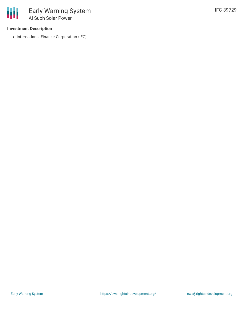#### **Investment Description**

₩

• International Finance Corporation (IFC)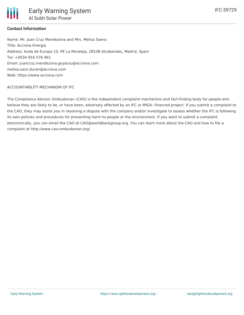# **Contact Information**

Name: Mr. Juan Cruz Mendezona and Mrs. Melisa Saenz Title: Acciona Energia Address: Avda de Europa 10, PE La Moraleja, 28108 Alcobendas, Madrid, Spain Tel: +0034 916 576 461 Email: juancruz.mendezona.goyarzu@acciona.com melisa.sanz.duran@acciona.com Web: https://www.acciona.com

#### ACCOUNTABILITY MECHANISM OF IFC

The Compliance Advisor Ombudsman (CAO) is the independent complaint mechanism and fact-finding body for people who believe they are likely to be, or have been, adversely affected by an IFC or MIGA- financed project. If you submit a complaint to the CAO, they may assist you in resolving a dispute with the company and/or investigate to assess whether the IFC is following its own policies and procedures for preventing harm to people or the environment. If you want to submit a complaint electronically, you can email the CAO at CAO@worldbankgroup.org. You can learn more about the CAO and how to file a complaint at http://www.cao-ombudsman.org/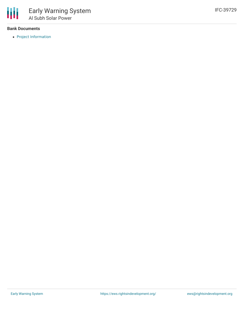

### **Bank Documents**

• Project [Information](https://disclosures.ifc.org/#/projectDetail/ESRS/39729)